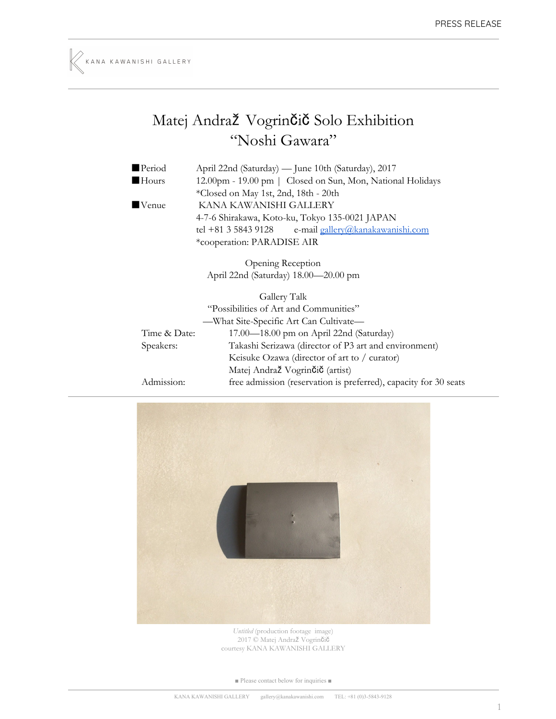## Matej Andraž Vogrinčič Solo Exhibition "Noshi Gawara"

| Period       | April 22nd (Saturday) — June 10th (Saturday), 2017               |
|--------------|------------------------------------------------------------------|
| Hours        | 12.00pm - 19.00 pm   Closed on Sun, Mon, National Holidays       |
|              | *Closed on May 1st, 2nd, 18th - 20th                             |
| Venue        | KANA KAWANISHI GALLERY                                           |
|              | 4-7-6 Shirakawa, Koto-ku, Tokyo 135-0021 JAPAN                   |
|              | e-mail gallery@kanakawanishi.com<br>tel +81 3 5843 9128          |
|              | *cooperation: PARADISE AIR                                       |
|              | Opening Reception                                                |
|              | April 22nd (Saturday) 18.00-20.00 pm                             |
|              | Gallery Talk                                                     |
|              | "Possibilities of Art and Communities"                           |
|              | -What Site-Specific Art Can Cultivate-                           |
| Time & Date: | 17.00—18.00 pm on April 22nd (Saturday)                          |
| Speakers:    | Takashi Serizawa (director of P3 art and environment)            |
|              | Keisuke Ozawa (director of art to / curator)                     |
|              | Matej Andraž Vogrinčič (artist)                                  |
| Admission:   | free admission (reservation is preferred), capacity for 30 seats |



*Untitled* (production footage image) 2017 © Matej Andraž Vogrinčič courtesy KANA KAWANISHI GALLERY

■ Please contact below for inquiries ■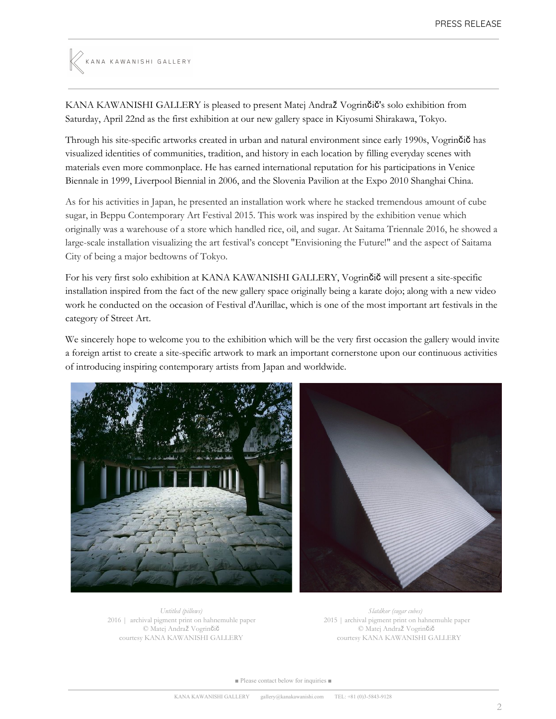# KANA KAWANISHI GALLERY

KANA KAWANISHI GALLERY is pleased to present Matej Andraž Vogrinčič's solo exhibition from Saturday, April 22nd as the first exhibition at our new gallery space in Kiyosumi Shirakawa, Tokyo.

Through his site-specific artworks created in urban and natural environment since early 1990s, Vogrinčič has visualized identities of communities, tradition, and history in each location by filling everyday scenes with materials even more commonplace. He has earned international reputation for his participations in Venice Biennale in 1999, Liverpool Biennial in 2006, and the Slovenia Pavilion at the Expo 2010 Shanghai China.

As for his activities in Japan, he presented an installation work where he stacked tremendous amount of cube sugar, in Beppu Contemporary Art Festival 2015. This work was inspired by the exhibition venue which originally was a warehouse of a store which handled rice, oil, and sugar. At Saitama Triennale 2016, he showed a large-scale installation visualizing the art festival's concept "Envisioning the Future!" and the aspect of Saitama City of being a major bedtowns of Tokyo.

For his very first solo exhibition at KANA KAWANISHI GALLERY, Vogrinčič will present a site-specific installation inspired from the fact of the new gallery space originally being a karate dojo; along with a new video work he conducted on the occasion of Festival d'Aurillac, which is one of the most important art festivals in the category of Street Art.

We sincerely hope to welcome you to the exhibition which will be the very first occasion the gallery would invite a foreign artist to create a site-specific artwork to mark an important cornerstone upon our continuous activities of introducing inspiring contemporary artists from Japan and worldwide.



*Untitled (pillows)* 2016 | archival pigment print on hahnemuhle paper © Matej Andraž Vogrinčič courtesy KANA KAWANISHI GALLERY

*Slatdkor (sugar cubes)* 2015 | archival pigment print on hahnemuhle paper © Matej Andraž Vogrinčič courtesy KANA KAWANISHI GALLERY

■ Please contact below for inquiries ■